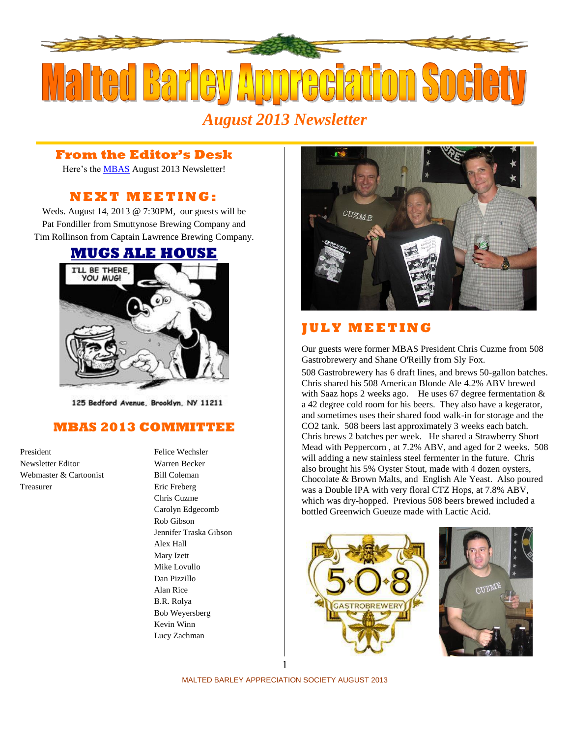

*August 2013 Newsletter*

## **From the Editor's Desk**

Here's the [MBAS](http://hbd.org/mbas) August 2013 Newsletter!

## **N E X T M E ETI N G :**

Weds. August 14, 2013 @ 7:30PM, our guests will be Pat Fondiller from Smuttynose Brewing Company and Tim Rollinson from Captain Lawrence Brewing Company.

## **[MUGS ALE HOUSE](http://www.mugsalehouse.com/)**



125 Bedford Avenue, Brooklyn, NY 11211

## **MBAS 2013 COMMITTEE**

President Felice Wechsler Newsletter Editor Warren Becker Webmaster & Cartoonist Bill Coleman Treasurer Eric Freberg

Chris Cuzme Carolyn Edgecomb Rob Gibson Jennifer Traska Gibson Alex Hall Mary Izett Mike Lovullo Dan Pizzillo Alan Rice B.R. Rolya Bob Weyersberg Kevin Winn Lucy Zachman



# **J U L Y M E E T I N G**

Our guests were former MBAS President Chris Cuzme fro[m 508](http://www.508nyc.com/)  [Gastrobrewery](http://www.508nyc.com/) and Shane O'Reilly fro[m Sly Fox.](http://www.slyfoxbeer.com/)

508 Gastrobrewery has 6 draft lines, and brews 50-gallon batches. Chris shared his 508 American Blonde Ale 4.2% ABV brewed with Saaz hops 2 weeks ago. He uses 67 degree fermentation & a 42 degree cold room for his beers. They also have a kegerator, and sometimes uses their shared food walk-in for storage and the CO2 tank. 508 beers last approximately 3 weeks each batch. Chris brews 2 batches per week. He shared a Strawberry Short Mead with Peppercorn , at 7.2% ABV, and aged for 2 weeks. 508 will adding a new stainless steel fermenter in the future. Chris also brought his 5% Oyster Stout, made with 4 dozen oysters, Chocolate & Brown Malts, and English Ale Yeast. Also poured was a Double IPA with very floral CTZ Hops, at 7.8% ABV, which was dry-hopped. Previous 508 beers brewed included a bottled Greenwich Gueuze made with Lactic Acid.





MALTED BARLEY APPRECIATION SOCIETY AUGUST 2013 1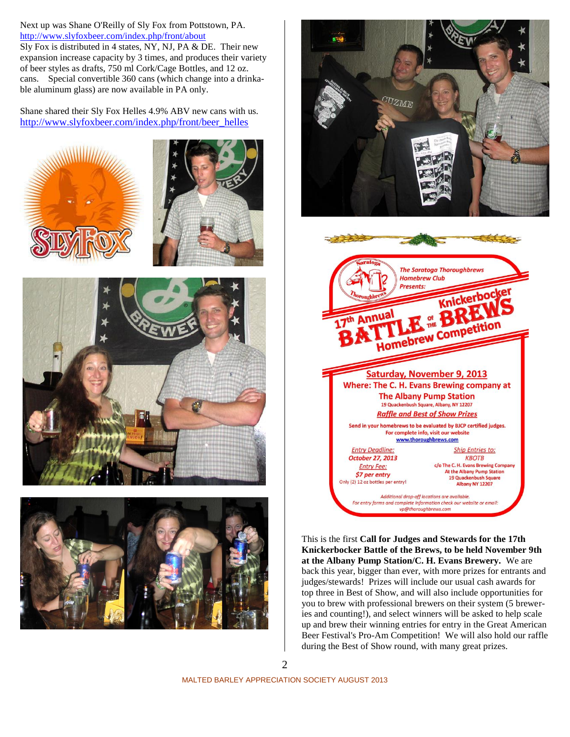Next up was Shane O'Reilly of Sly Fox from Pottstown, PA. <http://www.slyfoxbeer.com/index.php/front/about>

Sly Fox is distributed in 4 states, NY, NJ, PA & DE. Their new expansion increase capacity by 3 times, and produces their variety of beer styles as drafts, 750 ml Cork/Cage Bottles, and 12 oz. cans. Special convertible 360 cans (which change into a drinkable aluminum glass) are now available in PA only.

Shane shared their Sly Fox Helles 4.9% ABV new cans with us. [http://www.slyfoxbeer.com/index.php/front/beer\\_helles](http://www.slyfoxbeer.com/index.php/front/beer_helles)













This is the first **Call for Judges and Stewards for the 17th Knickerbocker Battle of the Brews, to be held November 9th at the Albany Pump Station/C. H. Evans Brewery.** We are back this year, bigger than ever, with more prizes for entrants and judges/stewards! Prizes will include our usual cash awards for top three in Best of Show, and will also include opportunities for you to brew with professional brewers on their system (5 breweries and counting!), and select winners will be asked to help scale up and brew their winning entries for entry in the Great American Beer Festival's Pro-Am Competition! We will also hold our raffle during the Best of Show round, with many great prizes.